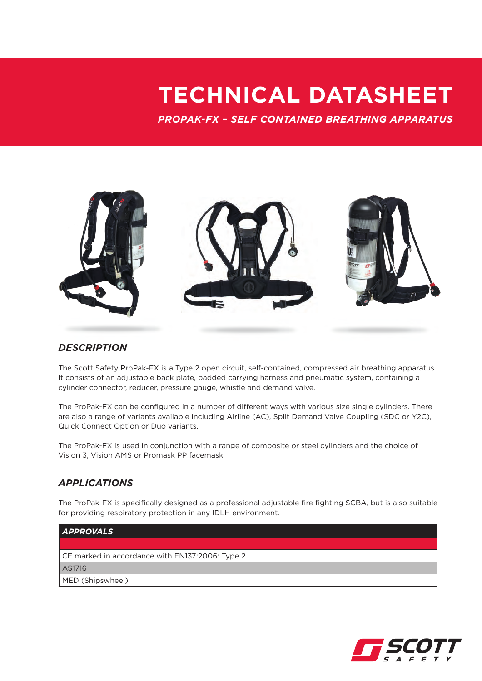## **TECHNICAL DATASHEET**

*PROPAK-FX – SELF CONTAINED BREATHING APPARATUS*



## *DESCRIPTION*

The Scott Safety ProPak-FX is a Type 2 open circuit, self-contained, compressed air breathing apparatus. It consists of an adjustable back plate, padded carrying harness and pneumatic system, containing a cylinder connector, reducer, pressure gauge, whistle and demand valve.

The ProPak-FX can be configured in a number of different ways with various size single cylinders. There are also a range of variants available including Airline (AC), Split Demand Valve Coupling (SDC or Y2C), Quick Connect Option or Duo variants.

The ProPak-FX is used in conjunction with a range of composite or steel cylinders and the choice of Vision 3, Vision AMS or Promask PP facemask.

## *APPLICATIONS*

The ProPak-FX is specifically designed as a professional adjustable fire fighting SCBA, but is also suitable for providing respiratory protection in any IDLH environment.

## *APPROVALS* CE marked in accordance with EN137:2006: Type 2 AS1716

MED (Shipswheel)

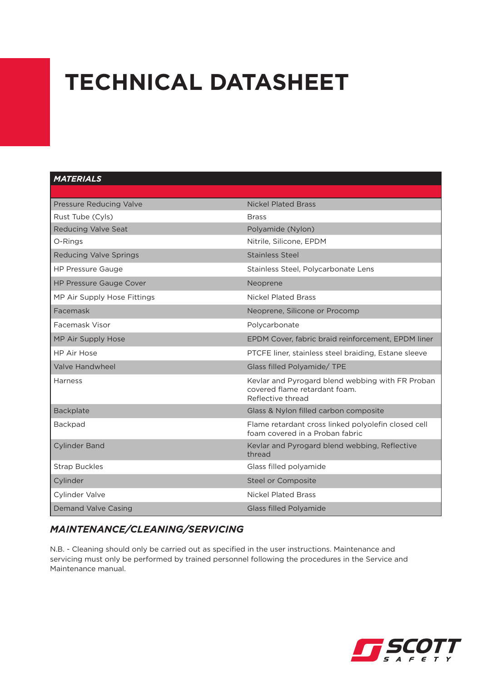# **TECHNICAL DATASHEET**

### *MATERIALS*

| Pressure Reducing Valve        | <b>Nickel Plated Brass</b>                                                                             |
|--------------------------------|--------------------------------------------------------------------------------------------------------|
| Rust Tube (Cyls)               | <b>Brass</b>                                                                                           |
| <b>Reducing Valve Seat</b>     | Polyamide (Nylon)                                                                                      |
| O-Rings                        | Nitrile, Silicone, EPDM                                                                                |
| <b>Reducing Valve Springs</b>  | Stainless Steel                                                                                        |
| <b>HP Pressure Gauge</b>       | Stainless Steel, Polycarbonate Lens                                                                    |
| <b>HP Pressure Gauge Cover</b> | Neoprene                                                                                               |
| MP Air Supply Hose Fittings    | <b>Nickel Plated Brass</b>                                                                             |
| Facemask                       | Neoprene, Silicone or Procomp                                                                          |
| Facemask Visor                 | Polycarbonate                                                                                          |
| MP Air Supply Hose             | EPDM Cover, fabric braid reinforcement, EPDM liner                                                     |
| <b>HP Air Hose</b>             | PTCFE liner, stainless steel braiding, Estane sleeve                                                   |
| <b>Valve Handwheel</b>         | Glass filled Polyamide/ TPE                                                                            |
| <b>Harness</b>                 | Kevlar and Pyrogard blend webbing with FR Proban<br>covered flame retardant foam.<br>Reflective thread |
| Backplate                      | Glass & Nylon filled carbon composite                                                                  |
| Backpad                        | Flame retardant cross linked polyolefin closed cell<br>foam covered in a Proban fabric                 |
| <b>Cylinder Band</b>           | Kevlar and Pyrogard blend webbing, Reflective<br>thread                                                |
| <b>Strap Buckles</b>           | Glass filled polyamide                                                                                 |
| Cylinder                       | Steel or Composite                                                                                     |
| Cylinder Valve                 | <b>Nickel Plated Brass</b>                                                                             |
| <b>Demand Valve Casing</b>     | <b>Glass filled Polyamide</b>                                                                          |

## *MAINTENANCE/CLEANING/SERVICING*

N.B. - Cleaning should only be carried out as specified in the user instructions. Maintenance and servicing must only be performed by trained personnel following the procedures in the Service and Maintenance manual.